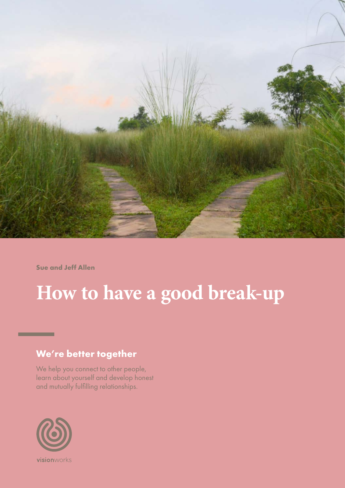

**Sue and Jeff Allen**

## **How to have a good break-up**

## **We're better together**

We help you connect to other people, learn about yourself and develop honest and mutually fulfilling relationships.

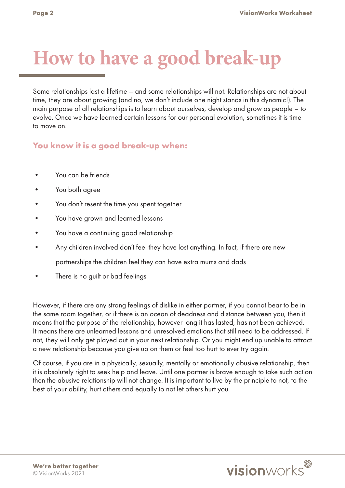Some relationships last a lifetime – and some relationships will not. Relationships are not about time, they are about growing (and no, we don't include one night stands in this dynamic!). The main purpose of all relationships is to learn about ourselves, develop and grow as people – to evolve. Once we have learned certain lessons for our personal evolution, sometimes it is time to move on.

## **You know it is a good break-up when:**

- **•** You can be friends
- You both agree
- You don't resent the time you spent together
- You have grown and learned lessons
- You have a continuing good relationship
- Any children involved don't feel they have lost anything. In fact, if there are new partnerships the children feel they can have extra mums and dads
- There is no quilt or bad feelings

However, if there are any strong feelings of dislike in either partner, if you cannot bear to be in the same room together, or if there is an ocean of deadness and distance between you, then it means that the purpose of the relationship, however long it has lasted, has not been achieved. It means there are unlearned lessons and unresolved emotions that still need to be addressed. If not, they will only get played out in your next relationship. Or you might end up unable to attract a new relationship because you give up on them or feel too hurt to ever try again.

Of course, if you are in a physically, sexually, mentally or emotionally abusive relationship, then it is absolutely right to seek help and leave. Until one partner is brave enough to take such action then the abusive relationship will not change. It is important to live by the principle to not, to the best of your ability, hurt others and equally to not let others hurt you.